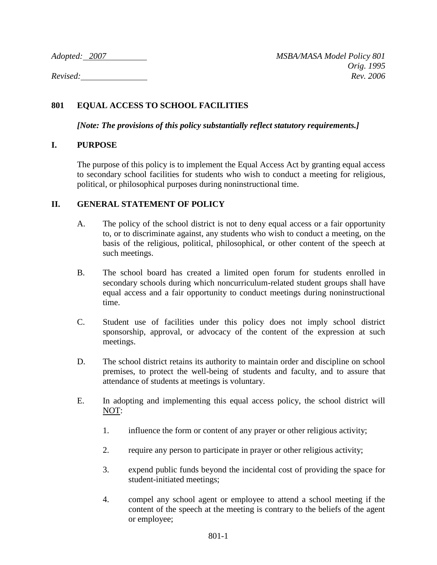*Adopted: 2007 MSBA/MASA Model Policy 801 Orig. 1995 Revised: Rev. 2006*

# **801 EQUAL ACCESS TO SCHOOL FACILITIES**

*[Note: The provisions of this policy substantially reflect statutory requirements.]*

## **I. PURPOSE**

The purpose of this policy is to implement the Equal Access Act by granting equal access to secondary school facilities for students who wish to conduct a meeting for religious, political, or philosophical purposes during noninstructional time.

## **II. GENERAL STATEMENT OF POLICY**

- A. The policy of the school district is not to deny equal access or a fair opportunity to, or to discriminate against, any students who wish to conduct a meeting, on the basis of the religious, political, philosophical, or other content of the speech at such meetings.
- B. The school board has created a limited open forum for students enrolled in secondary schools during which noncurriculum-related student groups shall have equal access and a fair opportunity to conduct meetings during noninstructional time.
- C. Student use of facilities under this policy does not imply school district sponsorship, approval, or advocacy of the content of the expression at such meetings.
- D. The school district retains its authority to maintain order and discipline on school premises, to protect the well-being of students and faculty, and to assure that attendance of students at meetings is voluntary.
- E. In adopting and implementing this equal access policy, the school district will NOT:
	- 1. influence the form or content of any prayer or other religious activity;
	- 2. require any person to participate in prayer or other religious activity;
	- 3. expend public funds beyond the incidental cost of providing the space for student-initiated meetings;
	- 4. compel any school agent or employee to attend a school meeting if the content of the speech at the meeting is contrary to the beliefs of the agent or employee;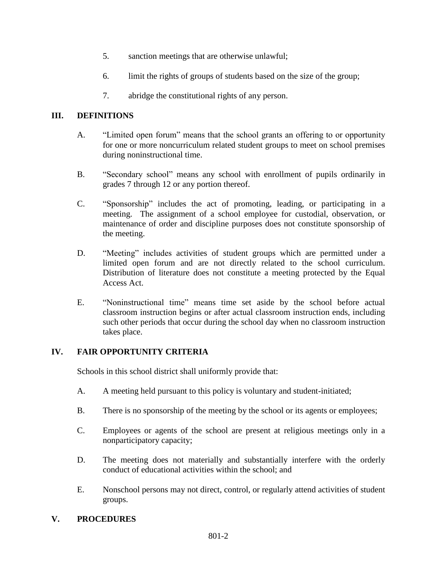- 5. sanction meetings that are otherwise unlawful;
- 6. limit the rights of groups of students based on the size of the group;
- 7. abridge the constitutional rights of any person.

## **III. DEFINITIONS**

- A. "Limited open forum" means that the school grants an offering to or opportunity for one or more noncurriculum related student groups to meet on school premises during noninstructional time.
- B. "Secondary school" means any school with enrollment of pupils ordinarily in grades 7 through 12 or any portion thereof.
- C. "Sponsorship" includes the act of promoting, leading, or participating in a meeting. The assignment of a school employee for custodial, observation, or maintenance of order and discipline purposes does not constitute sponsorship of the meeting.
- D. "Meeting" includes activities of student groups which are permitted under a limited open forum and are not directly related to the school curriculum. Distribution of literature does not constitute a meeting protected by the Equal Access Act.
- E. "Noninstructional time" means time set aside by the school before actual classroom instruction begins or after actual classroom instruction ends, including such other periods that occur during the school day when no classroom instruction takes place.

## **IV. FAIR OPPORTUNITY CRITERIA**

Schools in this school district shall uniformly provide that:

- A. A meeting held pursuant to this policy is voluntary and student-initiated;
- B. There is no sponsorship of the meeting by the school or its agents or employees;
- C. Employees or agents of the school are present at religious meetings only in a nonparticipatory capacity;
- D. The meeting does not materially and substantially interfere with the orderly conduct of educational activities within the school; and
- E. Nonschool persons may not direct, control, or regularly attend activities of student groups.

## **V. PROCEDURES**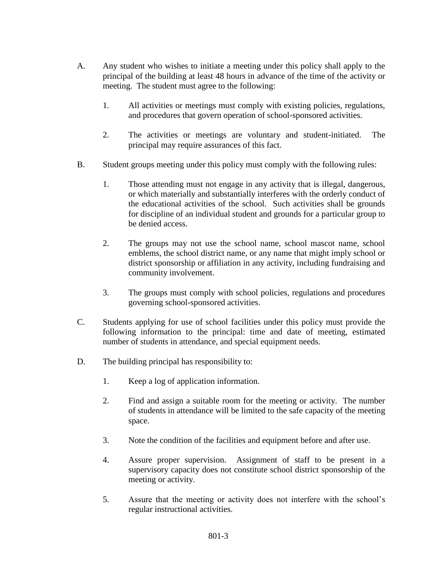- A. Any student who wishes to initiate a meeting under this policy shall apply to the principal of the building at least 48 hours in advance of the time of the activity or meeting. The student must agree to the following:
	- 1. All activities or meetings must comply with existing policies, regulations, and procedures that govern operation of school-sponsored activities.
	- 2. The activities or meetings are voluntary and student-initiated. The principal may require assurances of this fact.
- B. Student groups meeting under this policy must comply with the following rules:
	- 1. Those attending must not engage in any activity that is illegal, dangerous, or which materially and substantially interferes with the orderly conduct of the educational activities of the school. Such activities shall be grounds for discipline of an individual student and grounds for a particular group to be denied access.
	- 2. The groups may not use the school name, school mascot name, school emblems, the school district name, or any name that might imply school or district sponsorship or affiliation in any activity, including fundraising and community involvement.
	- 3. The groups must comply with school policies, regulations and procedures governing school-sponsored activities.
- C. Students applying for use of school facilities under this policy must provide the following information to the principal: time and date of meeting, estimated number of students in attendance, and special equipment needs.
- D. The building principal has responsibility to:
	- 1. Keep a log of application information.
	- 2. Find and assign a suitable room for the meeting or activity. The number of students in attendance will be limited to the safe capacity of the meeting space.
	- 3. Note the condition of the facilities and equipment before and after use.
	- 4. Assure proper supervision. Assignment of staff to be present in a supervisory capacity does not constitute school district sponsorship of the meeting or activity.
	- 5. Assure that the meeting or activity does not interfere with the school's regular instructional activities.